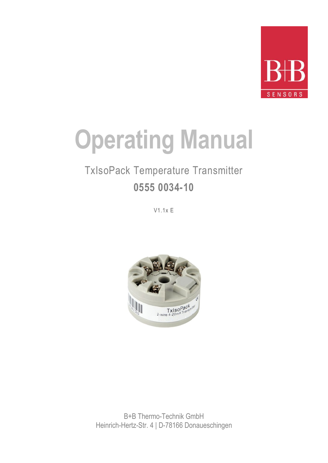

# **Operating Manual**

# TxIsoPack Temperature Transmitter **0555 0034-10**

V1.1x E



B+B Thermo-Technik GmbH Heinrich-Hertz-Str. 4 | D-78166 Donaueschingen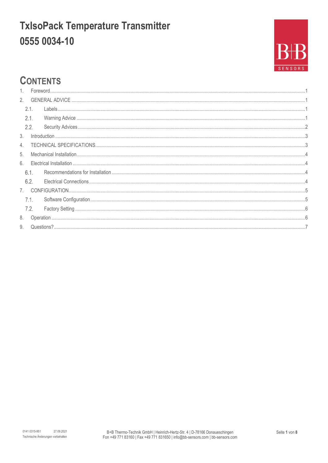

### **CONTENTS**

| $\mathbf{1}$ . |      |  |  |  |  |
|----------------|------|--|--|--|--|
| 2.             |      |  |  |  |  |
|                | 2.1. |  |  |  |  |
|                | 2.1. |  |  |  |  |
|                | 2.2. |  |  |  |  |
| 3.             |      |  |  |  |  |
| 4.             |      |  |  |  |  |
| 5.             |      |  |  |  |  |
| 6.             |      |  |  |  |  |
|                | 6.1. |  |  |  |  |
|                | 6.2. |  |  |  |  |
|                |      |  |  |  |  |
|                | 7.1. |  |  |  |  |
|                | 7.2. |  |  |  |  |
| 8.             |      |  |  |  |  |
| 9.             |      |  |  |  |  |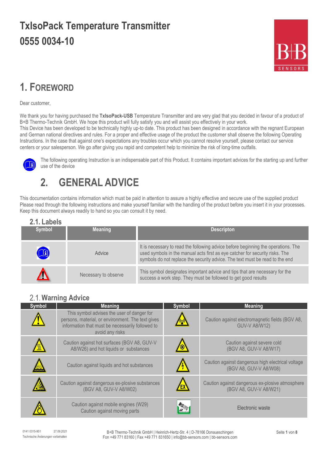

### <span id="page-2-0"></span>**1. FOREWORD**

Dear customer,

We thank you for having purchased the **TxIsoPack-USB** Temperature Transmitter and are very glad that you decided in favour of a product of B+B Thermo-Technik GmbH. We hope this product will fully satisfy you and will assist you effectively in your work.

This Device has been developed to be technically highly up-to date. This product has been designed in accordance with the regnant European and German national directives and rules. For a proper and effective usage of the product the customer shall observe the following Operating Instructions. In the case that against one's expectations any troubles occur which you cannot resolve yourself, please contact our service centers or your salesperson. We go after giving you rapid and competent help to minimize the risk of long-time outfalls.



The following operating Instruction is an indispensable part of this Product. It contains important advices for the starting up and further use of the device

### <span id="page-2-1"></span>**2. GENERAL ADVICE**

This documentation contains information which must be paid in attention to assure a highly effective and secure use of the supplied product Please read through the following instructions and make yourself familiar with the handling of the product before you insert it in your processes. Keep this document always readily to hand so you can consult it by need.

<span id="page-2-2"></span>

| 2.1. Labels |                      |                                                                                                                                                                                                                                                   |
|-------------|----------------------|---------------------------------------------------------------------------------------------------------------------------------------------------------------------------------------------------------------------------------------------------|
| Symbol      | <b>Meaning</b>       | <b>Descripton</b>                                                                                                                                                                                                                                 |
| H           | Advice               | It is necessary to read the following advice before beginning the operations. The<br>used symbols in the manual acts first as eye catcher for security risks. The<br>symbols do not replace the security advice. The text must be read to the end |
|             | Necessary to observe | This symbol designates important advice and tips that are necessary for the<br>success a work step. They must be followed to get good results                                                                                                     |

#### <span id="page-2-3"></span>**Warning Advice**

| Symbol | <b>Meaning</b>                                                                                                                                                         | Symbol | <b>Meaning</b>                                                              |
|--------|------------------------------------------------------------------------------------------------------------------------------------------------------------------------|--------|-----------------------------------------------------------------------------|
|        | This symbol advises the user of danger for<br>persons, material, or environment. The text gives<br>information that must be necessarily followed to<br>avoid any risks |        | Caution against electromagnetic fields (BGV A8,<br><b>GUV-V A8/W12)</b>     |
|        | Caution against hot surfaces (BGV A8, GUV-V<br>A8/W26) and hot liquids or substances                                                                                   |        | Caution against severe cold<br>(BGV A8, GUV-V A8/W17)                       |
|        | Caution against liquids and hot substances                                                                                                                             |        | Caution against dangerous high electrical voltage<br>(BGV A8, GUV-V A8/W08) |
|        | Caution against dangerous ex-plosive substances<br>(BGV A8, GUV-V A8/W02)                                                                                              | ΈX     | Caution against dangerous ex-plosive atmosphere<br>(BGV A8, GUV-V A8/W21)   |
|        | Caution against mobile engines (W29)<br>Caution against moving parts                                                                                                   |        | Electronic waste                                                            |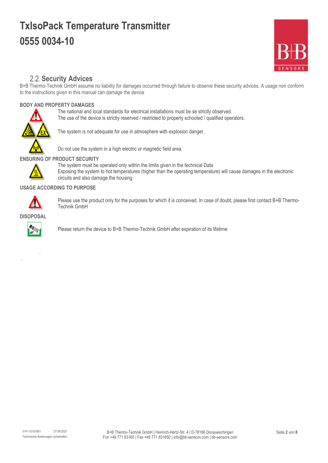

#### **2.2. Security Advices**

<span id="page-3-0"></span>B+B Thermo-Technik GmbH assume no liability for damages occurred through failure to observe these security advices. A usage non conform to the instructions given in this manual can damage the device

#### **BODY AND PROPERTY DAMAGES**

The national and local standards for electrical installations must be se strictly observed. The use of the device is strictly reserved / restricted to properly schooled / qualified operators.



The system is not adequate for use in atmosphere with explosion danger.



Do not use the system in a high electric or magnetic field area

#### **ENSURING OF PRODUCT SECURITY**



The system must be operated only within the limits given in the technical Data Exposing the system to hot temperatures (higher than the operating temperature) will cause damages in the electronic circuits and also damage the housing

#### **USAGE ACCORDING TO PURPOSE**



Please use the product only for the purposes for which it is conceived. In case of doubt, please first contact B+B Thermo-Technik GmbH

**DISOPOSAL**



.

.

Please return the device to B+B Thermo-Technik GmbH after expiration of its lifetime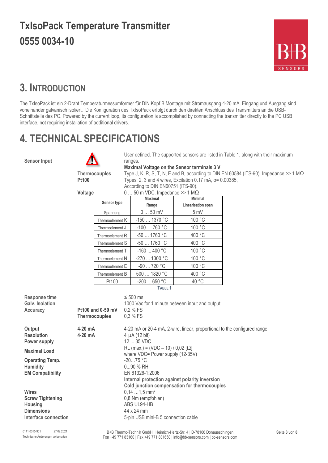

### <span id="page-4-0"></span>**3. INTRODUCTION**

The TxIsoPack ist ein 2-Draht Temperaturmessumformer für DIN Kopf B Montage mit Stromausgang 4-20 mA. Eingang und Ausgang sind voneinander galvanisch isoliert. Die Konfiguration des TxIsoPack erfolgt durch den direkten Anschluss des Transmitters an die USB-Schnittstelle des PC. Powered by the current loop, its configuration is accomplished by connecting the transmitter directly to the PC USB interface, not requiring installation of additional drivers.

### <span id="page-4-1"></span>**4. TECHNICAL SPECIFICATIONS**

**Sensor Input**



User defined. The supported sensors are listed in Table 1, along with their maximum ranges.

**Maximal Voltage on the Sensor terminals 3 V Thermocouples** Type J, K, R, S, T, N, E and B, according to DIN EN 60584 (ITS-90). Impedance >> 1 MΩ **Pt100** Types: 2, 3 and 4 wires, Excitation 0.17 mA, α= 0.00385, According to DIN EN60751 (ITS-90).

#### **Voltage** 0 … 50 m VDC. Impedance >> 1 MΩ

|                 | <b>Maximal</b> | <b>Minimal</b>     |  |  |  |
|-----------------|----------------|--------------------|--|--|--|
| Sensor type     | Range          | Linearisation span |  |  |  |
| Spannung        | $050$ mV       | 5 mV               |  |  |  |
| Thermoelement K | -150  1370 °C  | 100 °C             |  |  |  |
| Thermoelement J | $-100760$ °C   | 100 °C             |  |  |  |
| Thermoelement R | $-50$ 1760 °C  | 400 °C             |  |  |  |
| Thermoelement S | $-50$ 1760 °C  | 400 °C             |  |  |  |
| Thermoelement T | $-160400 °C$   | 100 °C             |  |  |  |
| Thermoelement N | -270  1300 °C  | 100 °C             |  |  |  |
| Thermoelement E | -90  720 °C    | 100 °C             |  |  |  |
| Thermoelement B | 500  1820 °C   | 400 °C             |  |  |  |
| Pt100           | $-200$ 650 °C  | 40 °C              |  |  |  |

**TABLE 1**

| Response time<br><b>Galv.</b> Isolation<br>Accuracy                                      | $Pt100$ and 0-50 mV<br><b>Thermocouples</b> | $\leq 500$ ms<br>1000 Vac for 1 minute between input and output<br>$0,2%$ FS<br>$0.3 \% FS$                                                   |
|------------------------------------------------------------------------------------------|---------------------------------------------|-----------------------------------------------------------------------------------------------------------------------------------------------|
| Output<br><b>Resolution</b><br>Power supply                                              | 4-20 mA<br>$4-20$ mA                        | 4-20 mA or 20-4 mA, 2-wire, linear, proportional to the configured range<br>4 $\mu$ A (12 bit)<br>$1235$ VDC                                  |
| <b>Maximal Load</b>                                                                      |                                             | RL (max.) = (VDC - 10) / 0,02 [ $\Omega$ ]<br>where VDC= Power supply (12-35V)                                                                |
| <b>Operating Temp.</b><br><b>Humidity</b><br><b>EM Compatibility</b>                     |                                             | $-2075 °C$<br>$090$ % RH<br>EN 61326-1:2006<br>Internal protection against polarity inversion<br>Cold junction compensation for thermocouples |
| Wires<br><b>Screw Tightening</b><br>Housing<br><b>Dimensions</b><br>Interface connection |                                             | $0,141,5$ mm <sup>2</sup><br>0,8 Nm (empfohlen)<br>ABS UL94-HB<br>44 x 24 mm<br>5-pin USB mini-B 5 connection cable                           |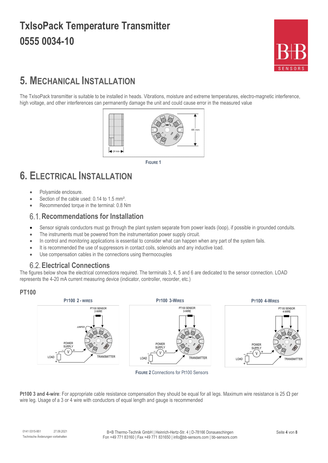

### <span id="page-5-0"></span>**5. MECHANICAL INSTALLATION**

The TxIsoPack transmitter is suitable to be installed in heads. Vibrations, moisture and extreme temperatures, electro-magnetic interference, high voltage, and other interferences can permanently damage the unit and could cause error in the measured value



**FIGURE 1**

### <span id="page-5-1"></span>**6. ELECTRICAL INSTALLATION**

- Polyamide enclosure.
- Section of the cable used: 0.14 to 1.5 mm<sup>2</sup>.
- Recommended torque in the terminal: 0.8 Nm

#### <span id="page-5-2"></span>**Recommendations for Installation**

- Sensor signals conductors must go through the plant system separate from power leads (loop), if possible in grounded conduits.
- The instruments must be powered from the instrumentation power supply circuit.
- In control and monitoring applications is essential to consider what can happen when any part of the system fails.
- It is recommended the use of suppressors in contact coils, solenoids and any inductive load.
- Use compensation cables in the connections using thermocouples

#### <span id="page-5-3"></span>**Electrical Connections**

The figures below show the electrical connections required. The terminals 3, 4, 5 and 6 are dedicated to the sensor connection. LOAD represents the 4-20 mA current measuring device (indicator, controller, recorder, etc.)

#### **PT100**



**FIGURE 2** Connections for Pt100 Sensors

**Pt100 3 and 4-wire**: For appropriate cable resistance compensation they should be equal for all legs. Maximum wire resistance is 25 Ω per wire leg. Usage of a 3 or 4 wire with conductors of equal length and gauge is recommended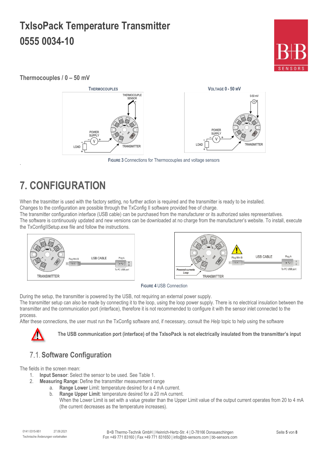

#### **Thermocouples / 0 – 50 mV**



**FIGURE 3** Connections for Thermocouples and voltage sensors

# <span id="page-6-0"></span>**7. CONFIGURATION**

.

When the trasmitter is used with the factory setting, no further action is required and the transmitter is ready to be installed. Changes to the configuration are possible through the TxConfig II software provided free of charge.

The transmitter configuration interface (USB cable) can be purchased from the manufacturer or its authorized sales representatives.

The software is continuously updated and new versions can be downloaded at no charge from the manufacturer's website. To install, execute the TxConfigIISetup.exe file and follow the instructions.



#### **FIGURE 4** USB Connection

During the setup, the transmitter is powered by the USB, not requiring an external power supply.

The transmitter setup can also be made by connecting it to the loop, using the loop power supply. There is no electrical insulation between the transmitter and the communication port (interface), therefore it is not recommended to configure it with the sensor inlet connected to the process.

After these connections, the user must run the TxConfig software and, if necessary, consult the *Help* topic to help using the software



**The USB communication port (interface) of the TxIsoPack is not electrically insulated from the transmitter's input**

#### <span id="page-6-1"></span>**Software Configuration**

The fields in the screen mean:

- 1. **Input Sensor**: Select the sensor to be used. See Table 1.
- 2. **Measuring Range**: Define the transmitter measurement range
	- a. **Range Lower** Limit: temperature desired for a 4 mA current.
	- b. **Range Upper Limit**: temperature desired for a 20 mA current.
		- When the Lower Limit is set with a value greater than the Upper Limit value of the output current operates from 20 to 4 mA (the current decreases as the temperature increases).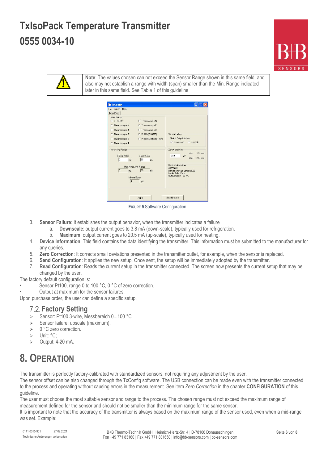



**Note**: The values chosen can not exceed the Sensor Range shown in this same field, and also may not establish a range with width (span) smaller than the Min. Range indicated later in this same field. See Table 1 of this guideline



**FIGURE 5** Software Configuration

- 3. **Sensor Failure**: It establishes the output behavior, when the transmitter indicates a failure
	- a. **Downscale**: output current goes to 3.8 mA (down-scale), typically used for refrigeration.
		- b. **Maximum**: output current goes to 20.5 mA (up-scale), typically used for heating.
- 4. **Device Information**: This field contains the data identifying the transmitter. This information must be submitted to the manufacturer for any queries.
- 5. **Zero Correction**: It corrects small deviations presented in the transmitter outlet, for example, when the sensor is replaced.
- 6. **Send Configuration**: It applies the new setup. Once sent, the setup will be immediately adopted by the transmitter.
- 7. **Read Configuration**: Reads the current setup in the transmitter connected. The screen now presents the current setup that may be changed by the user.

The factory default configuration is:

- Sensor Pt100, range 0 to 100 °C, 0 °C of zero correction.
- Output at maximum for the sensor failures.

<span id="page-7-0"></span>Upon purchase order, the user can define a specific setup.

#### **Factory Setting**

- Sensor: Pt100 3-wire, Messbereich 0...100 °C
- $\geq$  Sensor failure: upscale (maximum).
- $\geqslant$  0 °C zero correction.
- > Unit: °C:
- Output: 4-20 mA.

#### <span id="page-7-1"></span>**8. OPERATION**

The transmitter is perfectly factory-calibrated with standardized sensors, not requiring any adjustment by the user.

The sensor offset can be also changed through the TxConfig software. The USB connection can be made even with the transmitter connected to the process and operating without causing errors in the measurement. See item *Zero Correction* in the chapter **CONFIGURATION** of this guideline.

The user must choose the most suitable sensor and range to the process. The chosen range must not exceed the maximum range of measurement defined for the sensor and should not be smaller than the minimum range for the same sensor.

It is important to note that the accuracy of the transmitter is always based on the maximum range of the sensor used, even when a mid-range was set. Example: